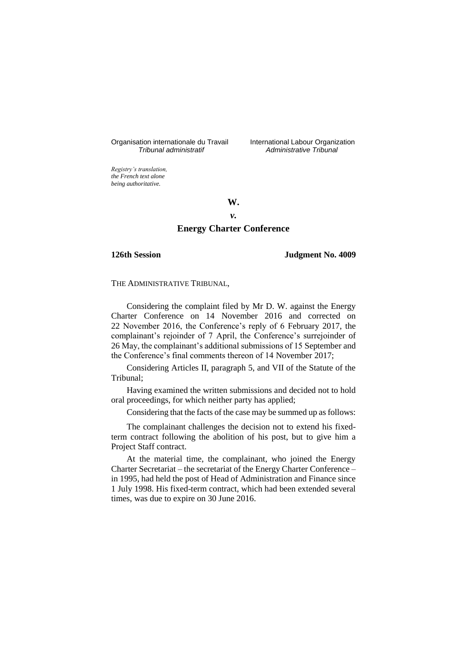Organisation internationale du Travail liternational Labour Organization<br> *Tribunal administratif Administrative Tribunal* 

*Tribunal administratif Administrative Tribunal*

*Registry's translation, the French text alone being authoritative.*

**W.**

# *v.*

## **Energy Charter Conference**

#### **126th Session Judgment No. 4009**

THE ADMINISTRATIVE TRIBUNAL,

Considering the complaint filed by Mr D. W. against the Energy Charter Conference on 14 November 2016 and corrected on 22 November 2016, the Conference's reply of 6 February 2017, the complainant's rejoinder of 7 April, the Conference's surrejoinder of 26 May, the complainant's additional submissions of 15 September and the Conference's final comments thereon of 14 November 2017;

Considering Articles II, paragraph 5, and VII of the Statute of the Tribunal;

Having examined the written submissions and decided not to hold oral proceedings, for which neither party has applied;

Considering that the facts of the case may be summed up as follows:

The complainant challenges the decision not to extend his fixedterm contract following the abolition of his post, but to give him a Project Staff contract.

At the material time, the complainant, who joined the Energy Charter Secretariat – the secretariat of the Energy Charter Conference – in 1995, had held the post of Head of Administration and Finance since 1 July 1998. His fixed-term contract, which had been extended several times, was due to expire on 30 June 2016.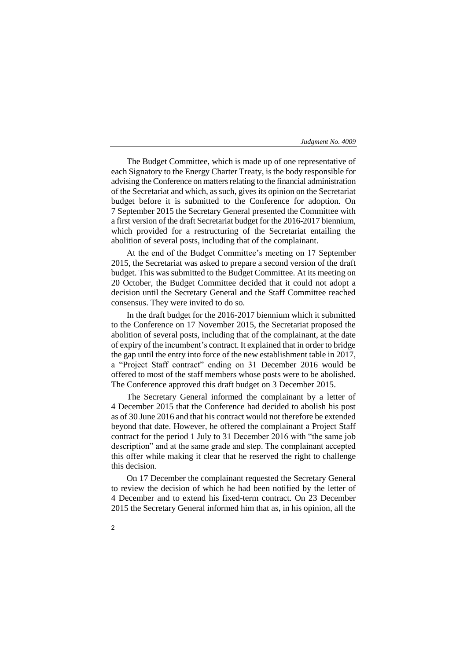The Budget Committee, which is made up of one representative of each Signatory to the Energy Charter Treaty, is the body responsible for advising the Conference on matters relating to the financial administration of the Secretariat and which, as such, gives its opinion on the Secretariat budget before it is submitted to the Conference for adoption. On 7 September 2015 the Secretary General presented the Committee with a first version of the draft Secretariat budget for the 2016-2017 biennium, which provided for a restructuring of the Secretariat entailing the abolition of several posts, including that of the complainant.

At the end of the Budget Committee's meeting on 17 September 2015, the Secretariat was asked to prepare a second version of the draft budget. This was submitted to the Budget Committee. At its meeting on 20 October, the Budget Committee decided that it could not adopt a decision until the Secretary General and the Staff Committee reached consensus. They were invited to do so.

In the draft budget for the 2016-2017 biennium which it submitted to the Conference on 17 November 2015, the Secretariat proposed the abolition of several posts, including that of the complainant, at the date of expiry of the incumbent's contract. It explained that in order to bridge the gap until the entry into force of the new establishment table in 2017, a "Project Staff contract" ending on 31 December 2016 would be offered to most of the staff members whose posts were to be abolished. The Conference approved this draft budget on 3 December 2015.

The Secretary General informed the complainant by a letter of 4 December 2015 that the Conference had decided to abolish his post as of 30 June 2016 and that his contract would not therefore be extended beyond that date. However, he offered the complainant a Project Staff contract for the period 1 July to 31 December 2016 with "the same job description" and at the same grade and step. The complainant accepted this offer while making it clear that he reserved the right to challenge this decision.

On 17 December the complainant requested the Secretary General to review the decision of which he had been notified by the letter of 4 December and to extend his fixed-term contract. On 23 December 2015 the Secretary General informed him that as, in his opinion, all the

 $\overline{2}$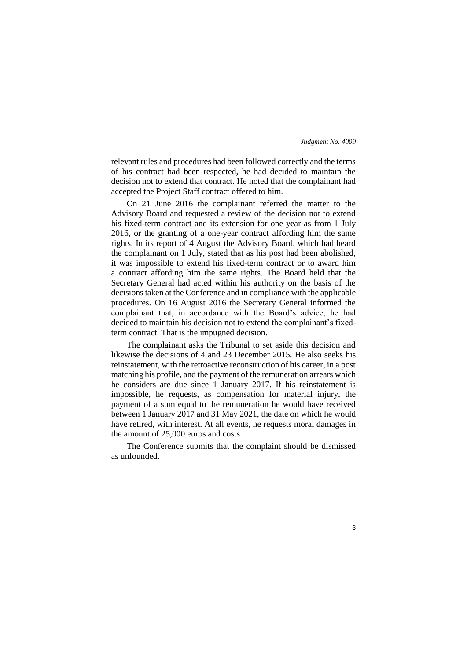3

relevant rules and procedures had been followed correctly and the terms of his contract had been respected, he had decided to maintain the decision not to extend that contract. He noted that the complainant had accepted the Project Staff contract offered to him.

On 21 June 2016 the complainant referred the matter to the Advisory Board and requested a review of the decision not to extend his fixed-term contract and its extension for one year as from 1 July 2016, or the granting of a one-year contract affording him the same rights. In its report of 4 August the Advisory Board, which had heard the complainant on 1 July, stated that as his post had been abolished, it was impossible to extend his fixed-term contract or to award him a contract affording him the same rights. The Board held that the Secretary General had acted within his authority on the basis of the decisions taken at the Conference and in compliance with the applicable procedures. On 16 August 2016 the Secretary General informed the complainant that, in accordance with the Board's advice, he had decided to maintain his decision not to extend the complainant's fixedterm contract. That is the impugned decision.

The complainant asks the Tribunal to set aside this decision and likewise the decisions of 4 and 23 December 2015. He also seeks his reinstatement, with the retroactive reconstruction of his career, in a post matching his profile, and the payment of the remuneration arrears which he considers are due since 1 January 2017. If his reinstatement is impossible, he requests, as compensation for material injury, the payment of a sum equal to the remuneration he would have received between 1 January 2017 and 31 May 2021, the date on which he would have retired, with interest. At all events, he requests moral damages in the amount of 25,000 euros and costs.

The Conference submits that the complaint should be dismissed as unfounded.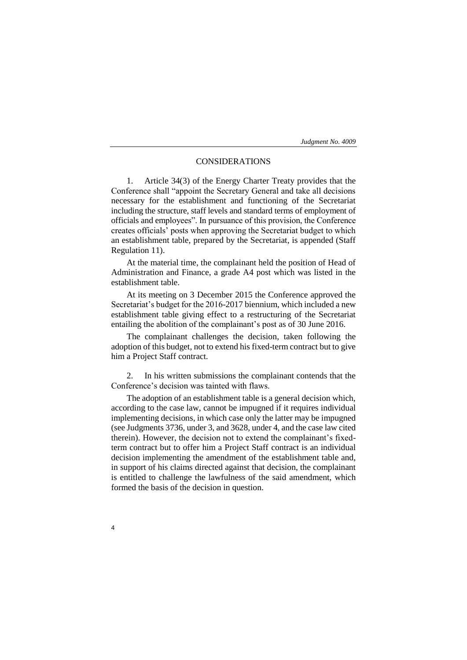## CONSIDERATIONS

1. Article 34(3) of the Energy Charter Treaty provides that the Conference shall "appoint the Secretary General and take all decisions necessary for the establishment and functioning of the Secretariat including the structure, staff levels and standard terms of employment of officials and employees". In pursuance of this provision, the Conference creates officials' posts when approving the Secretariat budget to which an establishment table, prepared by the Secretariat, is appended (Staff Regulation 11).

At the material time, the complainant held the position of Head of Administration and Finance, a grade A4 post which was listed in the establishment table.

At its meeting on 3 December 2015 the Conference approved the Secretariat's budget for the 2016-2017 biennium, which included a new establishment table giving effect to a restructuring of the Secretariat entailing the abolition of the complainant's post as of 30 June 2016.

The complainant challenges the decision, taken following the adoption of this budget, not to extend his fixed-term contract but to give him a Project Staff contract.

2. In his written submissions the complainant contends that the Conference's decision was tainted with flaws.

The adoption of an establishment table is a general decision which, according to the case law, cannot be impugned if it requires individual implementing decisions, in which case only the latter may be impugned (see Judgments 3736, under 3, and 3628, under 4, and the case law cited therein). However, the decision not to extend the complainant's fixedterm contract but to offer him a Project Staff contract is an individual decision implementing the amendment of the establishment table and, in support of his claims directed against that decision, the complainant is entitled to challenge the lawfulness of the said amendment, which formed the basis of the decision in question.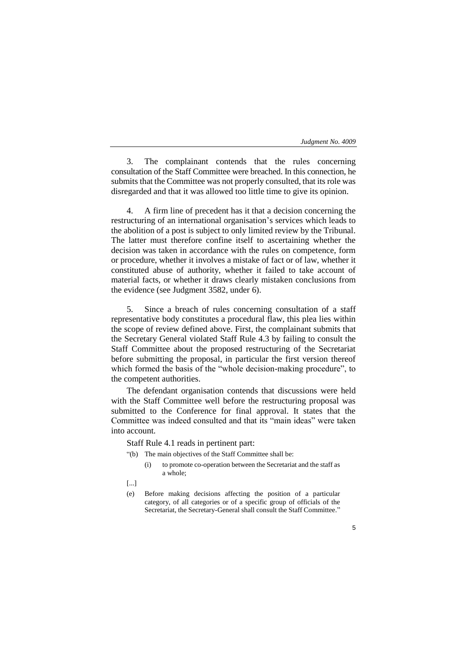3. The complainant contends that the rules concerning consultation of the Staff Committee were breached. In this connection, he submits that the Committee was not properly consulted, that its role was disregarded and that it was allowed too little time to give its opinion.

4. A firm line of precedent has it that a decision concerning the restructuring of an international organisation's services which leads to the abolition of a post is subject to only limited review by the Tribunal. The latter must therefore confine itself to ascertaining whether the decision was taken in accordance with the rules on competence, form or procedure, whether it involves a mistake of fact or of law, whether it constituted abuse of authority, whether it failed to take account of material facts, or whether it draws clearly mistaken conclusions from the evidence (see Judgment 3582, under 6).

5. Since a breach of rules concerning consultation of a staff representative body constitutes a procedural flaw, this plea lies within the scope of review defined above. First, the complainant submits that the Secretary General violated Staff Rule 4.3 by failing to consult the Staff Committee about the proposed restructuring of the Secretariat before submitting the proposal, in particular the first version thereof which formed the basis of the "whole decision-making procedure", to the competent authorities.

The defendant organisation contends that discussions were held with the Staff Committee well before the restructuring proposal was submitted to the Conference for final approval. It states that the Committee was indeed consulted and that its "main ideas" were taken into account.

Staff Rule 4.1 reads in pertinent part:

- "(b) The main objectives of the Staff Committee shall be:
	- (i) to promote co-operation between the Secretariat and the staff as a whole;
- [...]
- (e) Before making decisions affecting the position of a particular category, of all categories or of a specific group of officials of the Secretariat, the Secretary-General shall consult the Staff Committee."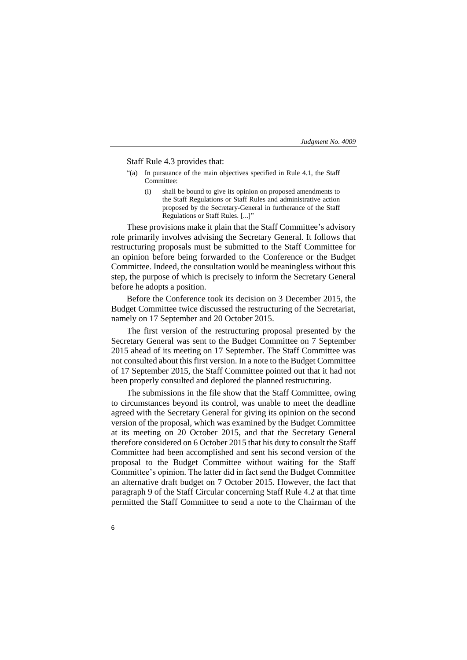Staff Rule 4.3 provides that:

6

- "(a) In pursuance of the main objectives specified in Rule 4.1, the Staff Committee:
	- (i) shall be bound to give its opinion on proposed amendments to the Staff Regulations or Staff Rules and administrative action proposed by the Secretary-General in furtherance of the Staff Regulations or Staff Rules. [...]"

These provisions make it plain that the Staff Committee's advisory role primarily involves advising the Secretary General. It follows that restructuring proposals must be submitted to the Staff Committee for an opinion before being forwarded to the Conference or the Budget Committee. Indeed, the consultation would be meaningless without this step, the purpose of which is precisely to inform the Secretary General before he adopts a position.

Before the Conference took its decision on 3 December 2015, the Budget Committee twice discussed the restructuring of the Secretariat, namely on 17 September and 20 October 2015.

The first version of the restructuring proposal presented by the Secretary General was sent to the Budget Committee on 7 September 2015 ahead of its meeting on 17 September. The Staff Committee was not consulted about this first version. In a note to the Budget Committee of 17 September 2015, the Staff Committee pointed out that it had not been properly consulted and deplored the planned restructuring.

The submissions in the file show that the Staff Committee, owing to circumstances beyond its control, was unable to meet the deadline agreed with the Secretary General for giving its opinion on the second version of the proposal, which was examined by the Budget Committee at its meeting on 20 October 2015, and that the Secretary General therefore considered on 6 October 2015 that his duty to consult the Staff Committee had been accomplished and sent his second version of the proposal to the Budget Committee without waiting for the Staff Committee's opinion. The latter did in fact send the Budget Committee an alternative draft budget on 7 October 2015. However, the fact that paragraph 9 of the Staff Circular concerning Staff Rule 4.2 at that time permitted the Staff Committee to send a note to the Chairman of the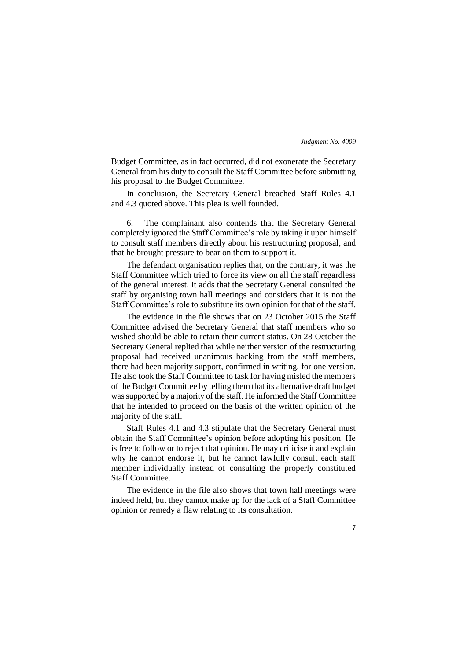Budget Committee, as in fact occurred, did not exonerate the Secretary General from his duty to consult the Staff Committee before submitting his proposal to the Budget Committee.

In conclusion, the Secretary General breached Staff Rules 4.1 and 4.3 quoted above. This plea is well founded.

6. The complainant also contends that the Secretary General completely ignored the Staff Committee's role by taking it upon himself to consult staff members directly about his restructuring proposal, and that he brought pressure to bear on them to support it.

The defendant organisation replies that, on the contrary, it was the Staff Committee which tried to force its view on all the staff regardless of the general interest. It adds that the Secretary General consulted the staff by organising town hall meetings and considers that it is not the Staff Committee's role to substitute its own opinion for that of the staff.

The evidence in the file shows that on 23 October 2015 the Staff Committee advised the Secretary General that staff members who so wished should be able to retain their current status. On 28 October the Secretary General replied that while neither version of the restructuring proposal had received unanimous backing from the staff members, there had been majority support, confirmed in writing, for one version. He also took the Staff Committee to task for having misled the members of the Budget Committee by telling them that its alternative draft budget was supported by a majority of the staff. He informed the Staff Committee that he intended to proceed on the basis of the written opinion of the majority of the staff.

Staff Rules 4.1 and 4.3 stipulate that the Secretary General must obtain the Staff Committee's opinion before adopting his position. He is free to follow or to reject that opinion. He may criticise it and explain why he cannot endorse it, but he cannot lawfully consult each staff member individually instead of consulting the properly constituted Staff Committee.

The evidence in the file also shows that town hall meetings were indeed held, but they cannot make up for the lack of a Staff Committee opinion or remedy a flaw relating to its consultation.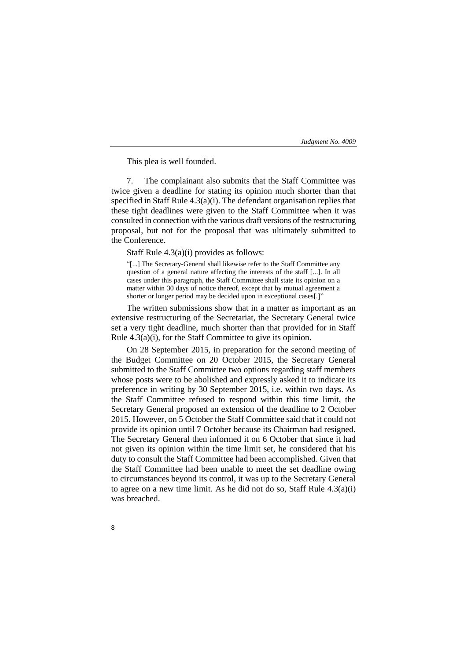This plea is well founded.

7. The complainant also submits that the Staff Committee was twice given a deadline for stating its opinion much shorter than that specified in Staff Rule 4.3(a)(i). The defendant organisation replies that these tight deadlines were given to the Staff Committee when it was consulted in connection with the various draft versions of the restructuring proposal, but not for the proposal that was ultimately submitted to the Conference.

Staff Rule 4.3(a)(i) provides as follows:

"[...] The Secretary-General shall likewise refer to the Staff Committee any question of a general nature affecting the interests of the staff [...]. In all cases under this paragraph, the Staff Committee shall state its opinion on a matter within 30 days of notice thereof, except that by mutual agreement a shorter or longer period may be decided upon in exceptional cases[.]"

The written submissions show that in a matter as important as an extensive restructuring of the Secretariat, the Secretary General twice set a very tight deadline, much shorter than that provided for in Staff Rule 4.3(a)(i), for the Staff Committee to give its opinion.

On 28 September 2015, in preparation for the second meeting of the Budget Committee on 20 October 2015, the Secretary General submitted to the Staff Committee two options regarding staff members whose posts were to be abolished and expressly asked it to indicate its preference in writing by 30 September 2015, i.e. within two days. As the Staff Committee refused to respond within this time limit, the Secretary General proposed an extension of the deadline to 2 October 2015. However, on 5 October the Staff Committee said that it could not provide its opinion until 7 October because its Chairman had resigned. The Secretary General then informed it on 6 October that since it had not given its opinion within the time limit set, he considered that his duty to consult the Staff Committee had been accomplished. Given that the Staff Committee had been unable to meet the set deadline owing to circumstances beyond its control, it was up to the Secretary General to agree on a new time limit. As he did not do so, Staff Rule  $4.3(a)(i)$ was breached.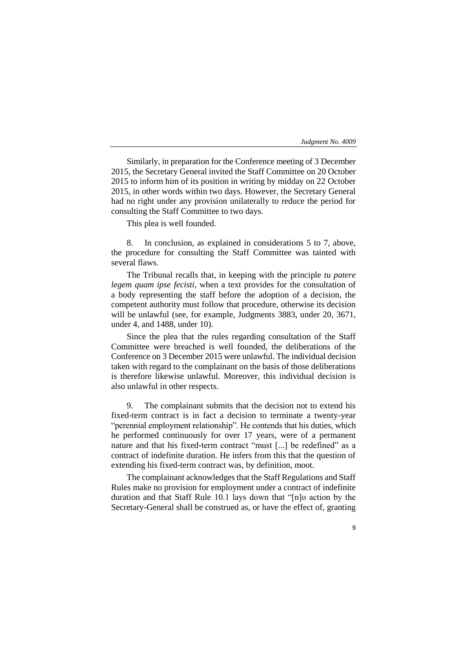Similarly, in preparation for the Conference meeting of 3 December 2015, the Secretary General invited the Staff Committee on 20 October 2015 to inform him of its position in writing by midday on 22 October 2015, in other words within two days. However, the Secretary General had no right under any provision unilaterally to reduce the period for consulting the Staff Committee to two days.

This plea is well founded.

8. In conclusion, as explained in considerations 5 to 7, above, the procedure for consulting the Staff Committee was tainted with several flaws.

The Tribunal recalls that, in keeping with the principle *tu patere legem quam ipse fecisti*, when a text provides for the consultation of a body representing the staff before the adoption of a decision, the competent authority must follow that procedure, otherwise its decision will be unlawful (see, for example, Judgments 3883, under 20, 3671, under 4, and 1488, under 10).

Since the plea that the rules regarding consultation of the Staff Committee were breached is well founded, the deliberations of the Conference on 3 December 2015 were unlawful. The individual decision taken with regard to the complainant on the basis of those deliberations is therefore likewise unlawful. Moreover, this individual decision is also unlawful in other respects.

9. The complainant submits that the decision not to extend his fixed-term contract is in fact a decision to terminate a twenty-year "perennial employment relationship". He contends that his duties, which he performed continuously for over 17 years, were of a permanent nature and that his fixed-term contract "must [...] be redefined" as a contract of indefinite duration. He infers from this that the question of extending his fixed-term contract was, by definition, moot.

The complainant acknowledges that the Staff Regulations and Staff Rules make no provision for employment under a contract of indefinite duration and that Staff Rule 10.1 lays down that "[n]o action by the Secretary-General shall be construed as, or have the effect of, granting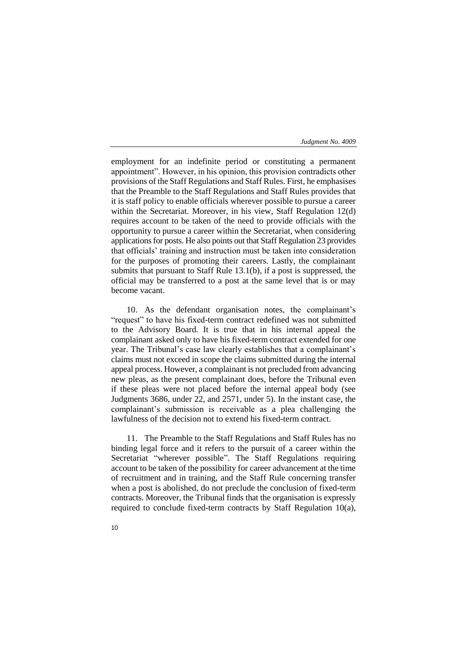employment for an indefinite period or constituting a permanent appointment". However, in his opinion, this provision contradicts other provisions of the Staff Regulations and Staff Rules. First, he emphasises that the Preamble to the Staff Regulations and Staff Rules provides that it is staff policy to enable officials wherever possible to pursue a career within the Secretariat. Moreover, in his view, Staff Regulation 12(d) requires account to be taken of the need to provide officials with the opportunity to pursue a career within the Secretariat, when considering applications for posts. He also points out that Staff Regulation 23 provides that officials' training and instruction must be taken into consideration for the purposes of promoting their careers. Lastly, the complainant submits that pursuant to Staff Rule 13.1(b), if a post is suppressed, the official may be transferred to a post at the same level that is or may become vacant.

10. As the defendant organisation notes, the complainant's "request" to have his fixed-term contract redefined was not submitted to the Advisory Board. It is true that in his internal appeal the complainant asked only to have his fixed-term contract extended for one year. The Tribunal's case law clearly establishes that a complainant's claims must not exceed in scope the claims submitted during the internal appeal process. However, a complainant is not precluded from advancing new pleas, as the present complainant does, before the Tribunal even if these pleas were not placed before the internal appeal body (see Judgments 3686, under 22, and 2571, under 5). In the instant case, the complainant's submission is receivable as a plea challenging the lawfulness of the decision not to extend his fixed-term contract.

11. The Preamble to the Staff Regulations and Staff Rules has no binding legal force and it refers to the pursuit of a career within the Secretariat "wherever possible". The Staff Regulations requiring account to be taken of the possibility for career advancement at the time of recruitment and in training, and the Staff Rule concerning transfer when a post is abolished, do not preclude the conclusion of fixed-term contracts. Moreover, the Tribunal finds that the organisation is expressly required to conclude fixed-term contracts by Staff Regulation 10(a),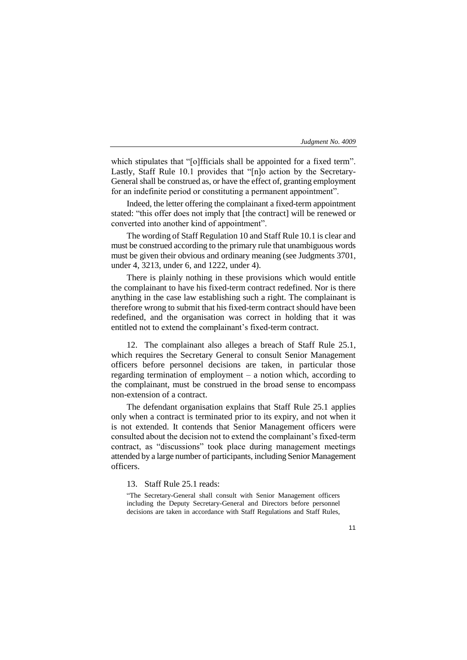which stipulates that "[o]fficials shall be appointed for a fixed term". Lastly, Staff Rule 10.1 provides that "[n]o action by the Secretary-General shall be construed as, or have the effect of, granting employment for an indefinite period or constituting a permanent appointment".

Indeed, the letter offering the complainant a fixed-term appointment stated: "this offer does not imply that [the contract] will be renewed or converted into another kind of appointment".

The wording of Staff Regulation 10 and Staff Rule 10.1 is clear and must be construed according to the primary rule that unambiguous words must be given their obvious and ordinary meaning (see Judgments 3701, under 4, 3213, under 6, and 1222, under 4).

There is plainly nothing in these provisions which would entitle the complainant to have his fixed-term contract redefined. Nor is there anything in the case law establishing such a right. The complainant is therefore wrong to submit that his fixed-term contract should have been redefined, and the organisation was correct in holding that it was entitled not to extend the complainant's fixed-term contract.

12. The complainant also alleges a breach of Staff Rule 25.1, which requires the Secretary General to consult Senior Management officers before personnel decisions are taken, in particular those regarding termination of employment – a notion which, according to the complainant, must be construed in the broad sense to encompass non-extension of a contract.

The defendant organisation explains that Staff Rule 25.1 applies only when a contract is terminated prior to its expiry, and not when it is not extended. It contends that Senior Management officers were consulted about the decision not to extend the complainant's fixed-term contract, as "discussions" took place during management meetings attended by a large number of participants, including Senior Management officers.

13. Staff Rule 25.1 reads:

"The Secretary-General shall consult with Senior Management officers including the Deputy Secretary-General and Directors before personnel decisions are taken in accordance with Staff Regulations and Staff Rules,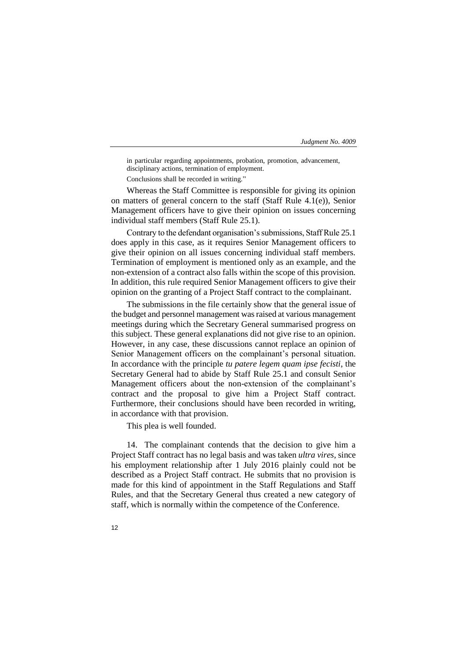in particular regarding appointments, probation, promotion, advancement, disciplinary actions, termination of employment.

Conclusions shall be recorded in writing."

Whereas the Staff Committee is responsible for giving its opinion on matters of general concern to the staff (Staff Rule 4.1(e)), Senior Management officers have to give their opinion on issues concerning individual staff members (Staff Rule 25.1).

Contrary to the defendant organisation's submissions, Staff Rule 25.1 does apply in this case, as it requires Senior Management officers to give their opinion on all issues concerning individual staff members. Termination of employment is mentioned only as an example, and the non-extension of a contract also falls within the scope of this provision. In addition, this rule required Senior Management officers to give their opinion on the granting of a Project Staff contract to the complainant.

The submissions in the file certainly show that the general issue of the budget and personnel management was raised at various management meetings during which the Secretary General summarised progress on this subject. These general explanations did not give rise to an opinion. However, in any case, these discussions cannot replace an opinion of Senior Management officers on the complainant's personal situation. In accordance with the principle *tu patere legem quam ipse fecisti*, the Secretary General had to abide by Staff Rule 25.1 and consult Senior Management officers about the non-extension of the complainant's contract and the proposal to give him a Project Staff contract. Furthermore, their conclusions should have been recorded in writing, in accordance with that provision.

This plea is well founded.

14. The complainant contends that the decision to give him a Project Staff contract has no legal basis and was taken *ultra vires,* since his employment relationship after 1 July 2016 plainly could not be described as a Project Staff contract. He submits that no provision is made for this kind of appointment in the Staff Regulations and Staff Rules, and that the Secretary General thus created a new category of staff, which is normally within the competence of the Conference.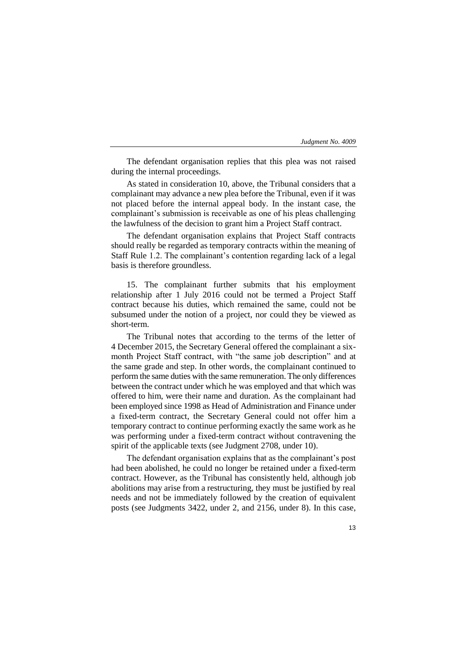The defendant organisation replies that this plea was not raised during the internal proceedings.

As stated in consideration 10, above, the Tribunal considers that a complainant may advance a new plea before the Tribunal, even if it was not placed before the internal appeal body. In the instant case, the complainant's submission is receivable as one of his pleas challenging the lawfulness of the decision to grant him a Project Staff contract.

The defendant organisation explains that Project Staff contracts should really be regarded as temporary contracts within the meaning of Staff Rule 1.2. The complainant's contention regarding lack of a legal basis is therefore groundless.

15. The complainant further submits that his employment relationship after 1 July 2016 could not be termed a Project Staff contract because his duties, which remained the same, could not be subsumed under the notion of a project, nor could they be viewed as short-term.

The Tribunal notes that according to the terms of the letter of 4 December 2015, the Secretary General offered the complainant a sixmonth Project Staff contract, with "the same job description" and at the same grade and step. In other words, the complainant continued to perform the same duties with the same remuneration. The only differences between the contract under which he was employed and that which was offered to him, were their name and duration. As the complainant had been employed since 1998 as Head of Administration and Finance under a fixed-term contract, the Secretary General could not offer him a temporary contract to continue performing exactly the same work as he was performing under a fixed-term contract without contravening the spirit of the applicable texts (see Judgment 2708, under 10).

The defendant organisation explains that as the complainant's post had been abolished, he could no longer be retained under a fixed-term contract. However, as the Tribunal has consistently held, although job abolitions may arise from a restructuring, they must be justified by real needs and not be immediately followed by the creation of equivalent posts (see Judgments 3422, under 2, and 2156, under 8). In this case,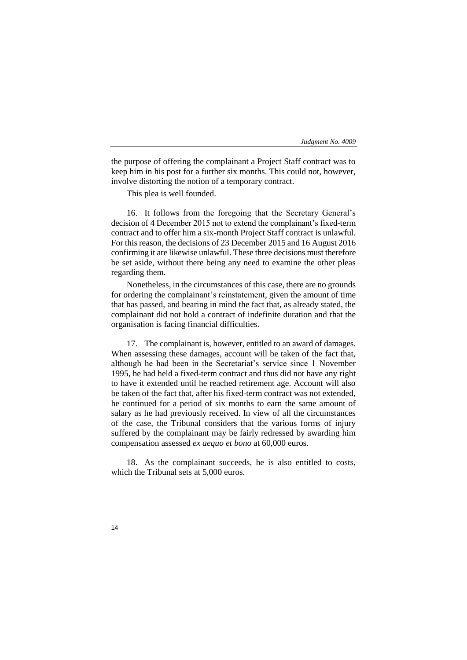the purpose of offering the complainant a Project Staff contract was to keep him in his post for a further six months. This could not, however, involve distorting the notion of a temporary contract.

This plea is well founded.

16. It follows from the foregoing that the Secretary General's decision of 4 December 2015 not to extend the complainant's fixed-term contract and to offer him a six-month Project Staff contract is unlawful. For this reason, the decisions of 23 December 2015 and 16 August 2016 confirming it are likewise unlawful. These three decisions must therefore be set aside, without there being any need to examine the other pleas regarding them.

Nonetheless, in the circumstances of this case, there are no grounds for ordering the complainant's reinstatement, given the amount of time that has passed, and bearing in mind the fact that, as already stated, the complainant did not hold a contract of indefinite duration and that the organisation is facing financial difficulties.

17. The complainant is, however, entitled to an award of damages. When assessing these damages, account will be taken of the fact that, although he had been in the Secretariat's service since 1 November 1995, he had held a fixed-term contract and thus did not have any right to have it extended until he reached retirement age. Account will also be taken of the fact that, after his fixed-term contract was not extended, he continued for a period of six months to earn the same amount of salary as he had previously received. In view of all the circumstances of the case, the Tribunal considers that the various forms of injury suffered by the complainant may be fairly redressed by awarding him compensation assessed *ex aequo et bono* at 60,000 euros.

18. As the complainant succeeds, he is also entitled to costs, which the Tribunal sets at 5,000 euros.